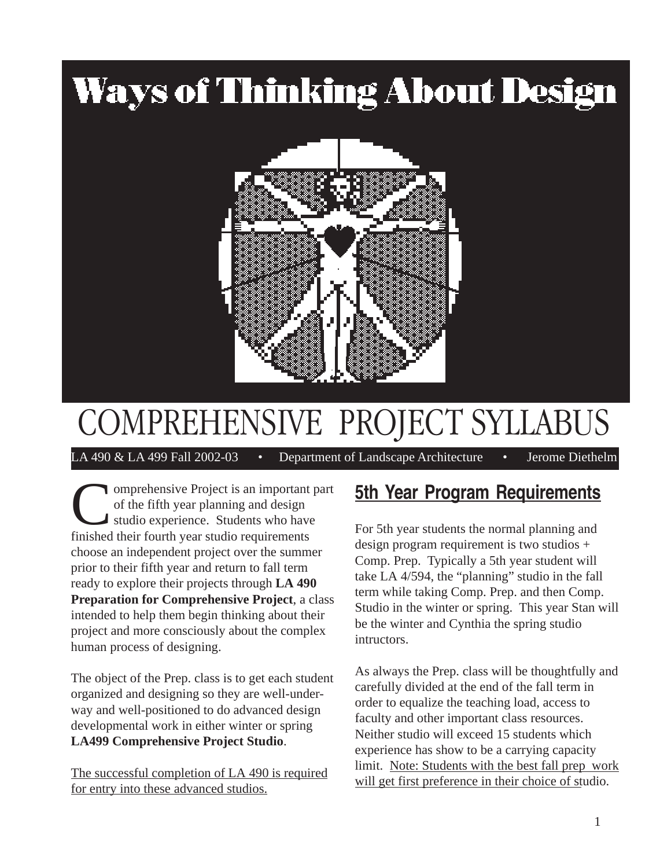# **Ways of Thinking About Design**



## COMPREHENSIVE PROJECT SYLLABUS

LA 490 & LA 499 Fall 2002-03 • Department of Landscape Architecture • Jerome Diethelm

Comprehensive Project is an important part of the fifth year planning and design studio experience. Students who have finished their fourth year studio requirements choose an independent project over the summer prior to their fifth year and return to fall term ready to explore their projects through **LA 490 Preparation for Comprehensive Project**, a class intended to help them begin thinking about their project and more consciously about the complex human process of designing.

The object of the Prep. class is to get each student organized and designing so they are well-underway and well-positioned to do advanced design developmental work in either winter or spring **LA499 Comprehensive Project Studio**.

The successful completion of LA 490 is required for entry into these advanced studios.

### **5th Year Program Requirements**

For 5th year students the normal planning and design program requirement is two studios + Comp. Prep. Typically a 5th year student will take LA 4/594, the "planning" studio in the fall term while taking Comp. Prep. and then Comp. Studio in the winter or spring. This year Stan will be the winter and Cynthia the spring studio intructors.

As always the Prep. class will be thoughtfully and carefully divided at the end of the fall term in order to equalize the teaching load, access to faculty and other important class resources. Neither studio will exceed 15 students which experience has show to be a carrying capacity limit. Note: Students with the best fall prep work will get first preference in their choice of studio.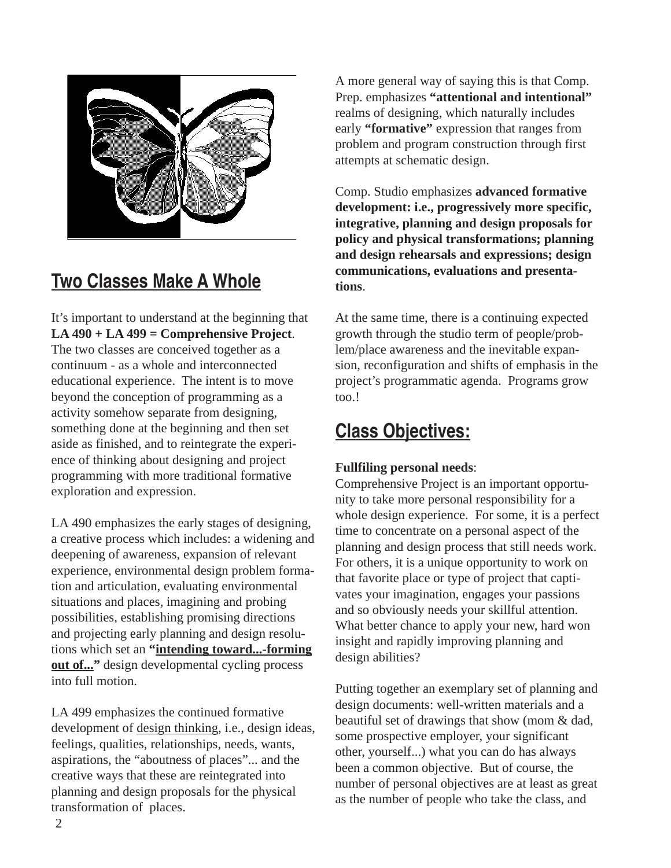

## **Two Classes Make A Whole**

It's important to understand at the beginning that **LA 490 + LA 499 = Comprehensive Project**. The two classes are conceived together as a continuum - as a whole and interconnected educational experience. The intent is to move beyond the conception of programming as a activity somehow separate from designing, something done at the beginning and then set aside as finished, and to reintegrate the experience of thinking about designing and project programming with more traditional formative exploration and expression.

LA 490 emphasizes the early stages of designing, a creative process which includes: a widening and deepening of awareness, expansion of relevant experience, environmental design problem formation and articulation, evaluating environmental situations and places, imagining and probing possibilities, establishing promising directions and projecting early planning and design resolutions which set an **"intending toward...-forming <u>out of...</u>**" design developmental cycling process into full motion.

LA 499 emphasizes the continued formative development of design thinking, i.e., design ideas, feelings, qualities, relationships, needs, wants, aspirations, the "aboutness of places"... and the creative ways that these are reintegrated into planning and design proposals for the physical transformation of places.

A more general way of saying this is that Comp. Prep. emphasizes **"attentional and intentional"** realms of designing, which naturally includes early **"formative"** expression that ranges from problem and program construction through first attempts at schematic design.

Comp. Studio emphasizes **advanced formative development: i.e., progressively more specific, integrative, planning and design proposals for policy and physical transformations; planning and design rehearsals and expressions; design communications, evaluations and presentations**.

At the same time, there is a continuing expected growth through the studio term of people/problem/place awareness and the inevitable expansion, reconfiguration and shifts of emphasis in the project's programmatic agenda. Programs grow too.!

## **Class Objectives:**

### **Fullfiling personal needs**:

Comprehensive Project is an important opportunity to take more personal responsibility for a whole design experience. For some, it is a perfect time to concentrate on a personal aspect of the planning and design process that still needs work. For others, it is a unique opportunity to work on that favorite place or type of project that captivates your imagination, engages your passions and so obviously needs your skillful attention. What better chance to apply your new, hard won insight and rapidly improving planning and design abilities?

Putting together an exemplary set of planning and design documents: well-written materials and a beautiful set of drawings that show (mom & dad, some prospective employer, your significant other, yourself...) what you can do has always been a common objective. But of course, the number of personal objectives are at least as great as the number of people who take the class, and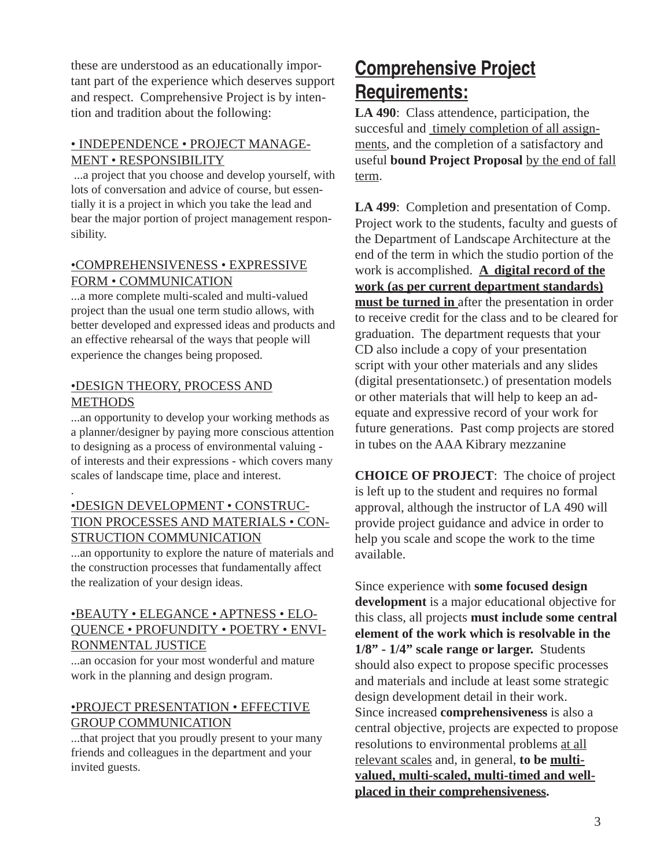these are understood as an educationally important part of the experience which deserves support and respect. Comprehensive Project is by intention and tradition about the following:

### • INDEPENDENCE • PROJECT MANAGE-MENT • RESPONSIBILITY

 ...a project that you choose and develop yourself, with lots of conversation and advice of course, but essentially it is a project in which you take the lead and bear the major portion of project management responsibility.

#### •COMPREHENSIVENESS • EXPRESSIVE FORM • COMMUNICATION

...a more complete multi-scaled and multi-valued project than the usual one term studio allows, with better developed and expressed ideas and products and an effective rehearsal of the ways that people will experience the changes being proposed.

#### •DESIGN THEORY, PROCESS AND **METHODS**

.

...an opportunity to develop your working methods as a planner/designer by paying more conscious attention to designing as a process of environmental valuing of interests and their expressions - which covers many scales of landscape time, place and interest.

### •DESIGN DEVELOPMENT • CONSTRUC-TION PROCESSES AND MATERIALS • CON-STRUCTION COMMUNICATION

...an opportunity to explore the nature of materials and the construction processes that fundamentally affect the realization of your design ideas.

### •BEAUTY • ELEGANCE • APTNESS • ELO-QUENCE • PROFUNDITY • POETRY • ENVI-RONMENTAL JUSTICE

...an occasion for your most wonderful and mature work in the planning and design program.

### •PROJECT PRESENTATION • EFFECTIVE GROUP COMMUNICATION

...that project that you proudly present to your many friends and colleagues in the department and your invited guests.

## **Comprehensive Project Requirements:**

**LA 490**: Class attendence, participation, the succesful and timely completion of all assignments, and the completion of a satisfactory and useful **bound Project Proposal** by the end of fall term.

**LA 499**: Completion and presentation of Comp. Project work to the students, faculty and guests of the Department of Landscape Architecture at the end of the term in which the studio portion of the work is accomplished. **A digital record of the work (as per current department standards) must be turned in** after the presentation in order to receive credit for the class and to be cleared for graduation. The department requests that your CD also include a copy of your presentation script with your other materials and any slides (digital presentationsetc.) of presentation models or other materials that will help to keep an adequate and expressive record of your work for future generations. Past comp projects are stored in tubes on the AAA Kibrary mezzanine

**CHOICE OF PROJECT**: The choice of project is left up to the student and requires no formal approval, although the instructor of LA 490 will provide project guidance and advice in order to help you scale and scope the work to the time available.

Since experience with **some focused design development** is a major educational objective for this class, all projects **must include some central element of the work which is resolvable in the 1/8" - 1/4" scale range or larger.** Students should also expect to propose specific processes and materials and include at least some strategic design development detail in their work. Since increased **comprehensiveness** is also a central objective, projects are expected to propose resolutions to environmental problems at all relevant scales and, in general, **to be multivalued, multi-scaled, multi-timed and wellplaced in their comprehensiveness.**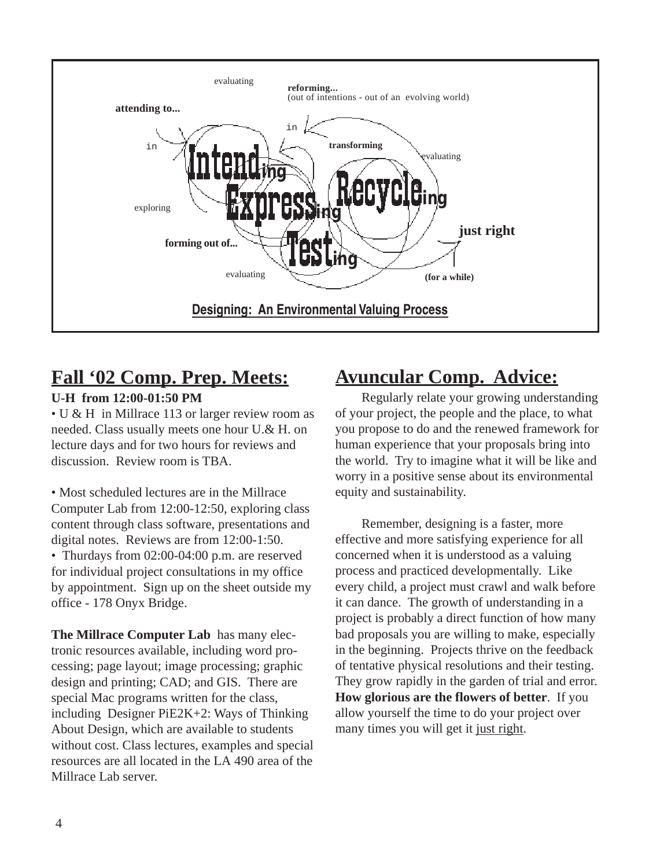

## **Fall '02 Comp. Prep. Meets:**

### **U-H from 12:00-01:50 PM**

• U & H in Millrace 113 or larger review room as needed. Class usually meets one hour U.& H. on lecture days and for two hours for reviews and discussion. Review room is TBA.

• Most scheduled lectures are in the Millrace Computer Lab from 12:00-12:50, exploring class content through class software, presentations and digital notes. Reviews are from 12:00-1:50. • Thurdays from 02:00-04:00 p.m. are reserved for individual project consultations in my office by appointment. Sign up on the sheet outside my office - 178 Onyx Bridge.

**The Millrace Computer Lab** has many electronic resources available, including word processing; page layout; image processing; graphic design and printing; CAD; and GIS. There are special Mac programs written for the class, including Designer PiE2K+2: Ways of Thinking About Design, which are available to students without cost. Class lectures, examples and special resources are all located in the LA 490 area of the Millrace Lab server.

## **Avuncular Comp. Advice:**

Regularly relate your growing understanding of your project, the people and the place, to what you propose to do and the renewed framework for human experience that your proposals bring into the world. Try to imagine what it will be like and worry in a positive sense about its environmental equity and sustainability.

Remember, designing is a faster, more effective and more satisfying experience for all concerned when it is understood as a valuing process and practiced developmentally. Like every child, a project must crawl and walk before it can dance. The growth of understanding in a project is probably a direct function of how many bad proposals you are willing to make, especially in the beginning. Projects thrive on the feedback of tentative physical resolutions and their testing. They grow rapidly in the garden of trial and error. **How glorious are the flowers of better**. If you allow yourself the time to do your project over many times you will get it just right.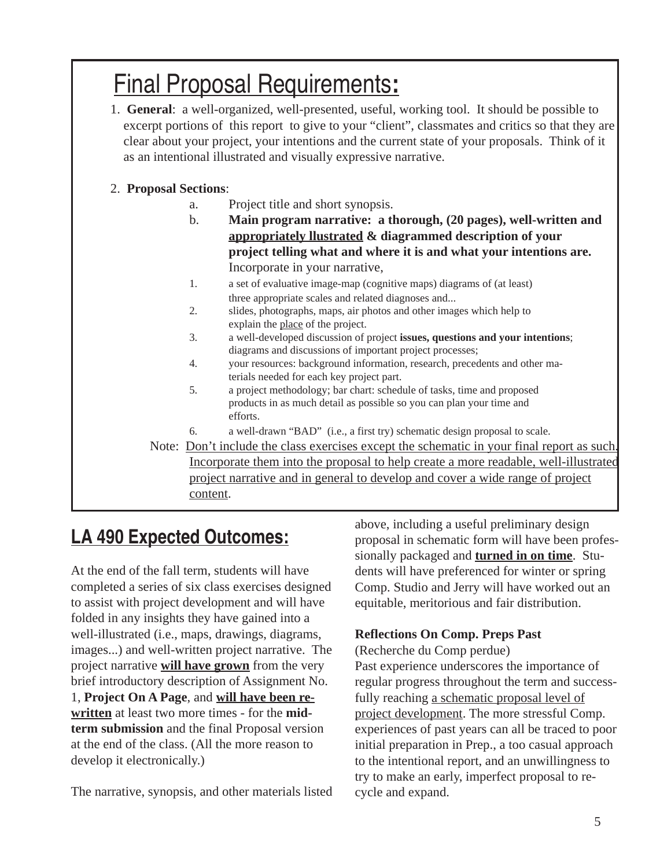## Final Proposal Requirements**:**

1. **General**: a well-organized, well-presented, useful, working tool. It should be possible to excerpt portions of this report to give to your "client", classmates and critics so that they are clear about your project, your intentions and the current state of your proposals. Think of it as an intentional illustrated and visually expressive narrative.

### 2. **Proposal Sections**:

- a. Project title and short synopsis.
- b. **Main program narrative: a thorough, (20 pages), well-written and appropriately llustrated & diagrammed description of your project telling what and where it is and what your intentions are.** Incorporate in your narrative,
- 1. a set of evaluative image-map (cognitive maps) diagrams of (at least) three appropriate scales and related diagnoses and...
- 2. slides, photographs, maps, air photos and other images which help to explain the place of the project.
- 3. a well-developed discussion of project **issues, questions and your intentions**; diagrams and discussions of important project processes;
- 4. your resources: background information, research, precedents and other materials needed for each key project part.
- 5. a project methodology; bar chart: schedule of tasks, time and proposed products in as much detail as possible so you can plan your time and efforts.
- 6. a well-drawn "BAD" (i.e., a first try) schematic design proposal to scale.

Note: Don't include the class exercises except the schematic in your final report as such. Incorporate them into the proposal to help create a more readable, well-illustrated project narrative and in general to develop and cover a wide range of project content.

## **LA 490 Expected Outcomes:**

At the end of the fall term, students will have completed a series of six class exercises designed to assist with project development and will have folded in any insights they have gained into a well-illustrated (i.e., maps, drawings, diagrams, images...) and well-written project narrative. The project narrative **will have grown** from the very brief introductory description of Assignment No. 1, **Project On A Page**, and **will have been rewritten** at least two more times - for the **midterm submission** and the final Proposal version at the end of the class. (All the more reason to develop it electronically.)

The narrative, synopsis, and other materials listed

above, including a useful preliminary design proposal in schematic form will have been professionally packaged and **turned in on time**. Students will have preferenced for winter or spring Comp. Studio and Jerry will have worked out an equitable, meritorious and fair distribution.

### **Reflections On Comp. Preps Past**

(Recherche du Comp perdue)

Past experience underscores the importance of regular progress throughout the term and successfully reaching a schematic proposal level of project development. The more stressful Comp. experiences of past years can all be traced to poor initial preparation in Prep., a too casual approach to the intentional report, and an unwillingness to try to make an early, imperfect proposal to recycle and expand.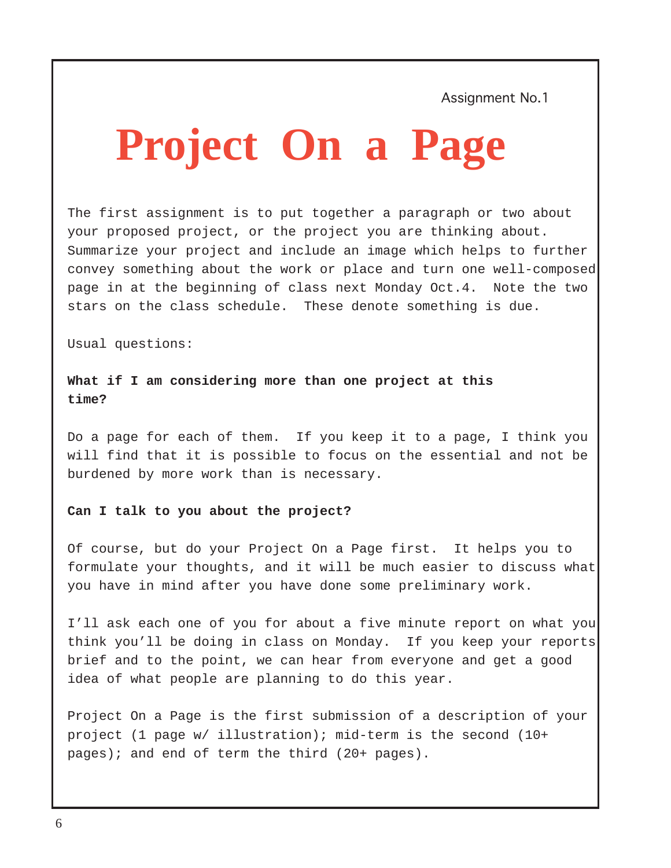Assignment No.1

# **Project On a Page**

The first assignment is to put together a paragraph or two about your proposed project, or the project you are thinking about. Summarize your project and include an image which helps to further convey something about the work or place and turn one well-composed page in at the beginning of class next Monday Oct.4. Note the two stars on the class schedule. These denote something is due.

Usual questions:

**What if I am considering more than one project at this time?**

Do a page for each of them. If you keep it to a page, I think you will find that it is possible to focus on the essential and not be burdened by more work than is necessary.

#### **Can I talk to you about the project?**

Of course, but do your Project On a Page first. It helps you to formulate your thoughts, and it will be much easier to discuss what you have in mind after you have done some preliminary work.

I'll ask each one of you for about a five minute report on what you think you'll be doing in class on Monday. If you keep your reports brief and to the point, we can hear from everyone and get a good idea of what people are planning to do this year.

Project On a Page is the first submission of a description of your project (1 page w/ illustration); mid-term is the second (10+ pages); and end of term the third (20+ pages).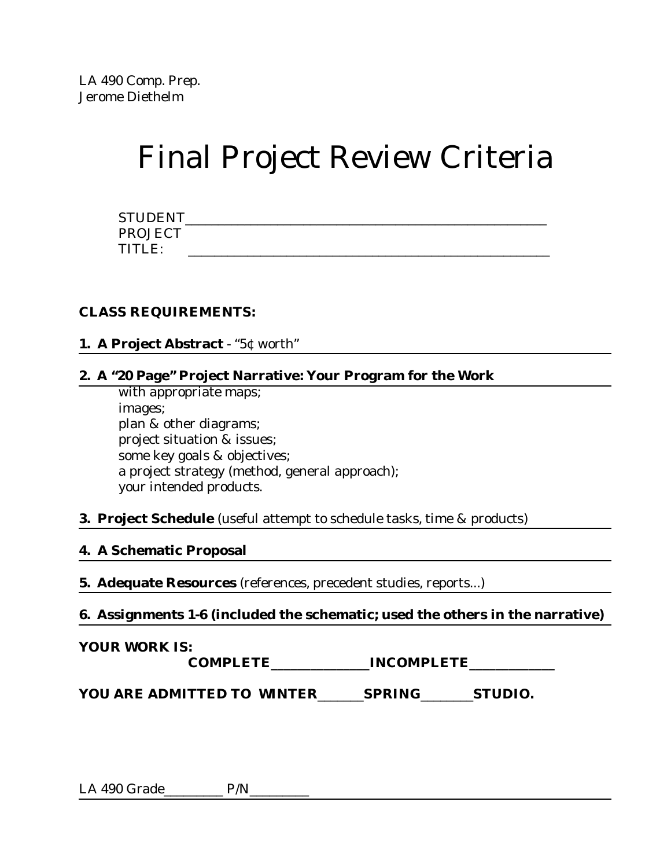## Final Project Review Criteria

| <b>STUDENT</b> |  |  |  |
|----------------|--|--|--|
| <b>PROJECT</b> |  |  |  |
| TITLE:         |  |  |  |

### **CLASS REQUIREMENTS:**

### **1. A Project Abstract** - "5¢ worth"

### **2. A "20 Page" Project Narrative: Your Program for the Work**

with appropriate maps; images; plan & other diagrams; project situation & issues; some key goals & objectives; a project strategy (method, general approach); your intended products.

### **3. Project Schedule** (useful attempt to schedule tasks, time & products)

### **4. A Schematic Proposal**

**5. Adequate Resources** (references, precedent studies, reports...)

**6. Assignments 1-6 (included the schematic; used the others in the narrative)** 

### **YOUR WORK IS:**

 **COMPLETE\_\_\_\_\_\_\_\_\_\_\_\_\_\_\_INCOMPLETE\_\_\_\_\_\_\_\_\_\_\_\_\_**

**YOU ARE ADMITTED TO** *WINTER*\_\_\_\_\_\_\_*SPRING*\_\_\_\_\_\_\_\_**STUDIO.**

LA 490 Grade\_\_\_\_\_\_\_\_\_\_ P/N\_\_\_\_\_